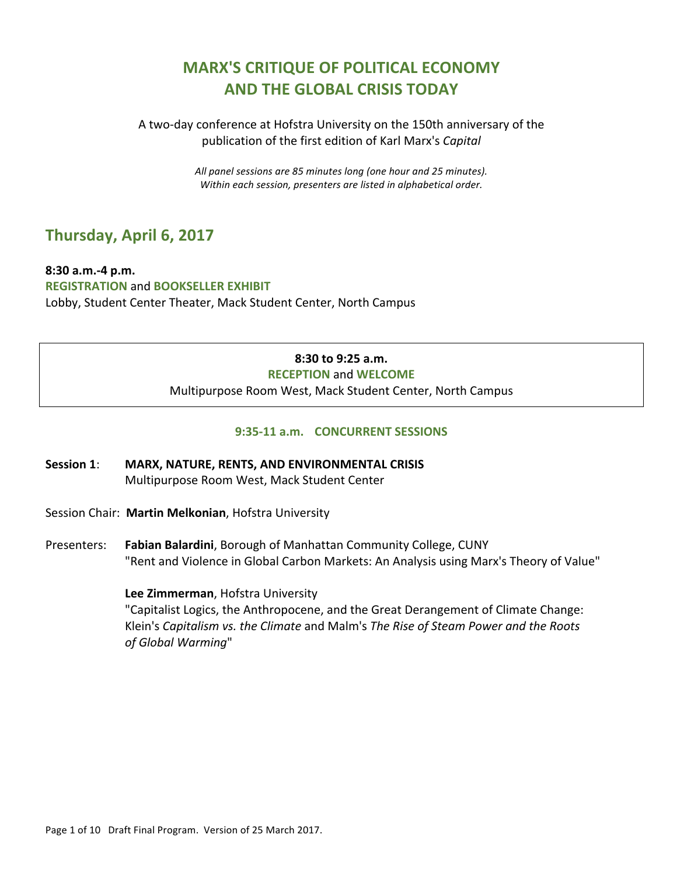# **MARX'S CRITIQUE OF POLITICAL ECONOMY AND'THE'GLOBAL'CRISIS'TODAY**

A two-day conference at Hofstra University on the 150th anniversary of the publication of the first edition of Karl Marx's *Capital* 

> All panel sessions are 85 minutes long (one hour and 25 minutes). Within each session, presenters are listed in alphabetical order.

# **Thursday,'April 6, 2017**

8:30 a.m.-4 p.m. **REGISTRATION'**and **BOOKSELLER'EXHIBIT**!! Lobby, Student Center Theater, Mack Student Center, North Campus

## **8:30'to'9:25'a.m.**

#### **RECEPTION'**and!**WELCOME**!!

Multipurpose Room West, Mack Student Center, North Campus

### **9:35-11 a.m. CONCURRENT SESSIONS**

- Session 1: MARX, NATURE, RENTS, AND ENVIRONMENTAL CRISIS Multipurpose Room West, Mack Student Center
- Session Chair: Martin Melkonian, Hofstra University
- Presenters: Fabian Balardini, Borough of Manhattan Community College, CUNY "Rent and Violence in Global Carbon Markets: An Analysis using Marx's Theory of Value"

#### **Lee Zimmerman, Hofstra University**

"Capitalist Logics, the Anthropocene, and the Great Derangement of Climate Change: Klein's *Capitalism vs. the Climate* and Malm's *The Rise of Steam Power and the Roots* of Global Warming"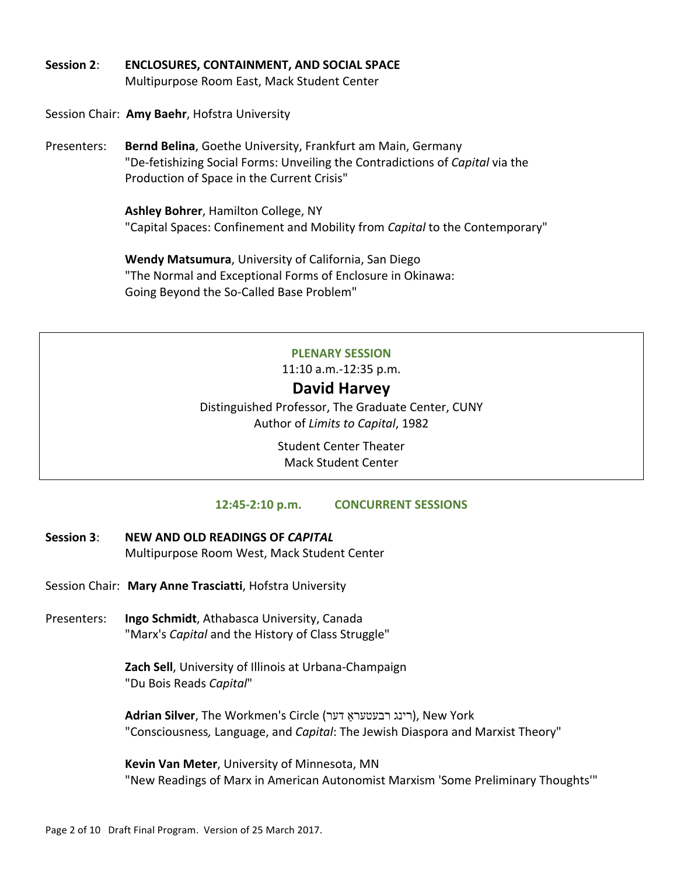Session 2: **ENCLOSURES, CONTAINMENT, AND SOCIAL SPACE** Multipurpose Room East, Mack Student Center

Session Chair: Amy Baehr, Hofstra University

Bernd Belina, Goethe University, Frankfurt am Main, Germany Presenters: "De-fetishizing Social Forms: Unveiling the Contradictions of Capital via the Production of Space in the Current Crisis"

> Ashley Bohrer, Hamilton College, NY "Capital Spaces: Confinement and Mobility from *Capital* to the Contemporary"

Wendy Matsumura, University of California, San Diego "The Normal and Exceptional Forms of Enclosure in Okinawa: Going Beyond the So-Called Base Problem"

#### **PLENARY SESSION**

11:10 a.m.-12:35 p.m.

## David Harvey

Distinguished Professor, The Graduate Center, CUNY Author of Limits to Capital, 1982

> **Student Center Theater Mack Student Center**

#### 12:45-2:10 p.m. **CONCURRENT SESSIONS**

- Session 3: NEW AND OLD READINGS OF CAPITAL Multipurpose Room West, Mack Student Center
- Session Chair: Mary Anne Trasciatti, Hofstra University
- Presenters: Ingo Schmidt, Athabasca University, Canada "Marx's Capital and the History of Class Struggle"

Zach Sell, University of Illinois at Urbana-Champaign "Du Bois Reads Capital"

Adrian Silver, The Workmen's Circle (רינג רבעטעראַ דער), New York "Consciousness, Language, and Capital: The Jewish Diaspora and Marxist Theory"

Kevin Van Meter, University of Minnesota, MN "New Readings of Marx in American Autonomist Marxism 'Some Preliminary Thoughts'"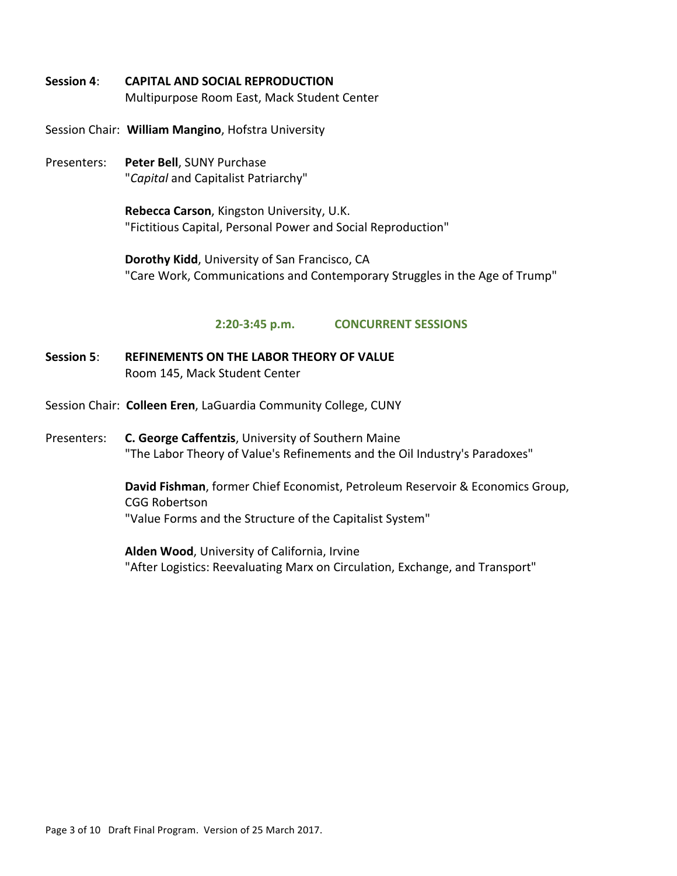- **Session'4**:!! **CAPITAL'AND'SOCIAL'REPRODUCTION** Multipurpose Room East, Mack Student Center
- Session Chair: William Mangino, Hofstra University
- Presenters: **Peter Bell**, SUNY Purchase "*Capital* and!Capitalist!Patriarchy"

Rebecca Carson, Kingston University, U.K. "Fictitious Capital, Personal Power and Social Reproduction"

**Dorothy Kidd**, University of San Francisco, CA "Care Work, Communications and Contemporary Struggles in the Age of Trump"

#### **2:20-3:45 p.m. CONCURRENT SESSIONS**

- Session 5: **REFINEMENTS ON THE LABOR THEORY OF VALUE** Room 145, Mack Student Center
- Session Chair: Colleen Eren, LaGuardia Community College, CUNY
- Presenters: **C. George Caffentzis**, University of Southern Maine "The Labor Theory of Value's Refinements and the Oil Industry's Paradoxes"

David Fishman, former Chief Economist, Petroleum Reservoir & Economics Group, CGG Robertson "Value Forms and the Structure of the Capitalist System"

**Alden Wood, University of California, Irvine** "After Logistics: Reevaluating Marx on Circulation, Exchange, and Transport"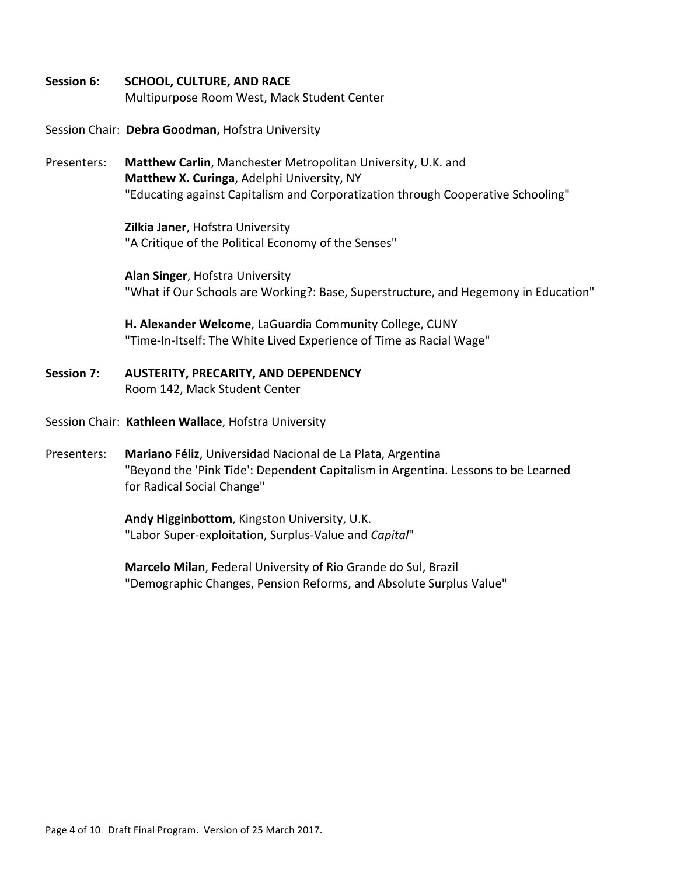- Session 6: SCHOOL, CULTURE, AND RACE Multipurpose Room West, Mack Student Center
- Session Chair: Debra Goodman, Hofstra University
- Presenters: **Matthew Carlin**, Manchester Metropolitan University, U.K. and **Matthew X. Curinga, Adelphi University, NY** "Educating against Capitalism and Corporatization through Cooperative Schooling"

**Zilkia Janer**, Hofstra University "A Critique of the Political Economy of the Senses"

**Alan Singer, Hofstra University** "What if Our Schools are Working?: Base, Superstructure, and Hegemony in Education"

**H. Alexander Welcome**, LaGuardia Community College, CUNY "Time-In-Itself: The White Lived Experience of Time as Racial Wage"

- Session 7: AUSTERITY, PRECARITY, AND DEPENDENCY Room 142, Mack Student Center
- Session Chair: Kathleen Wallace, Hofstra University
- Presenters: Mariano Féliz, Universidad Nacional de La Plata, Argentina "Beyond the 'Pink Tide': Dependent Capitalism in Argentina. Lessons to be Learned for Radical Social Change"

Andy Higginbottom, Kingston University, U.K. "Labor Super-exploitation, Surplus-Value and Capital"

**Marcelo Milan, Federal University of Rio Grande do Sul, Brazil!** "Demographic Changes, Pension Reforms, and Absolute Surplus Value"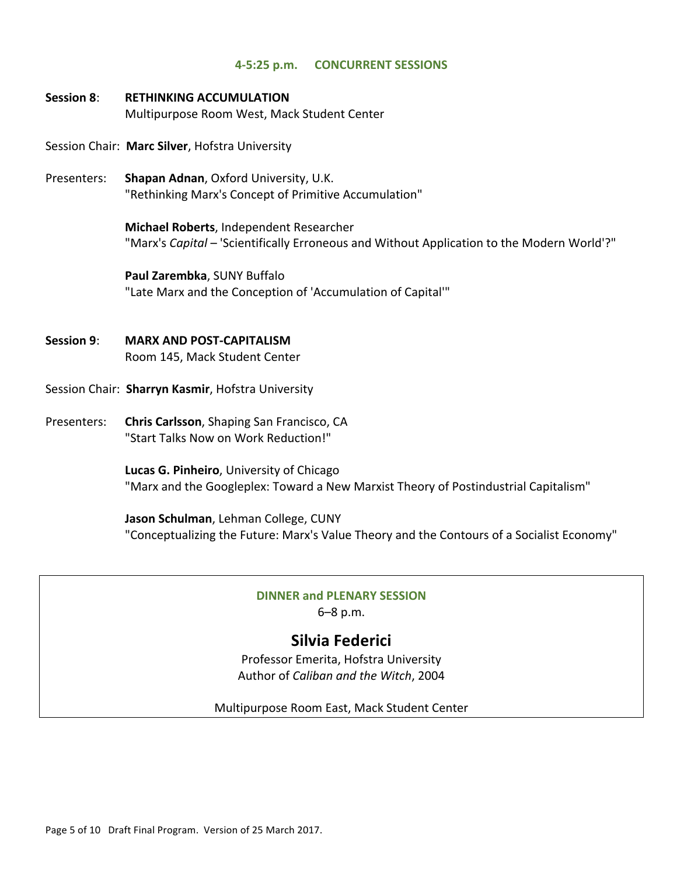#### **4-5:25 p.m. CONCURRENT SESSIONS**

- **Session'8**:!! **RETHINKING'ACCUMULATION** Multipurpose Room West, Mack Student Center
- Session Chair: Marc Silver, Hofstra University
- Presenters: **Shapan Adnan**, Oxford University, U.K. "Rethinking Marx's Concept of Primitive Accumulation"

**Michael Roberts**, Independent Researcher "Marx's *Capital* – 'Scientifically Erroneous and Without Application to the Modern World'?"

**Paul Zarembka, SUNY Buffalo** "Late Marx and the Conception of 'Accumulation of Capital'"

- $S$ ession 9: **MARX AND POST-CAPITALISM** Room 145, Mack Student Center
- Session Chair: Sharryn Kasmir, Hofstra University
- Presenters: **Chris Carlsson**, Shaping San Francisco, CA "Start Talks Now on Work Reduction!"

Lucas G. Pinheiro, University of Chicago "Marx and the Googleplex: Toward a New Marxist Theory of Postindustrial Capitalism"

**Jason Schulman**, Lehman College, CUNY "Conceptualizing the Future: Marx's Value Theory and the Contours of a Socialist Economy"

# **DINNER'and PLENARY'SESSION**

6–8 p.m.

# **Silvia'Federici**

Professor Emerita, Hofstra University Author of *Caliban and the Witch*, 2004

Multipurpose Room East, Mack Student Center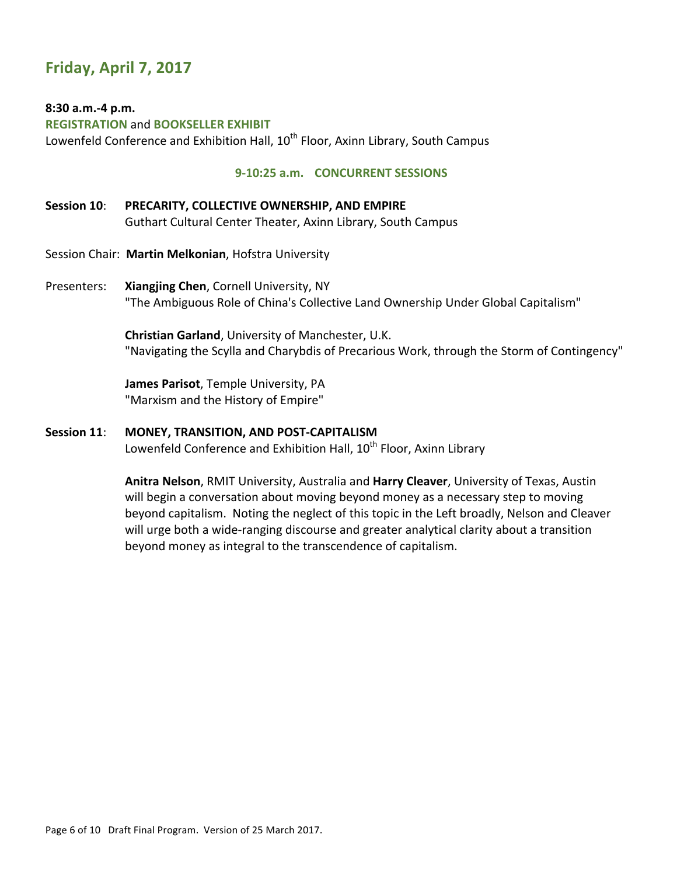# **Friday, April 7, 2017**

### 8:30 a.m.-4 p.m.

**REGISTRATION'**and **BOOKSELLER'EXHIBIT**!! Lowenfeld Conference and Exhibition Hall,  $10<sup>th</sup>$  Floor, Axinn Library, South Campus

### **9-10:25 a.m. CONCURRENT SESSIONS**

## Session 10: PRECARITY, COLLECTIVE OWNERSHIP, AND EMPIRE Guthart Cultural Center Theater, Axinn Library, South Campus

- Session Chair: Martin Melkonian, Hofstra University
- Presenters: **Xiangjing Chen**, Cornell University, NY "The Ambiguous Role of China's Collective Land Ownership Under Global Capitalism"

**Christian Garland**, University of Manchester, U.K. "Navigating the Scylla and Charybdis of Precarious Work, through the Storm of Contingency"

James Parisot, Temple University, PA "Marxism and the History of Empire"

#### Session 11: MONEY, TRANSITION, AND POST-CAPITALISM

Lowenfeld Conference and Exhibition Hall, 10<sup>th</sup> Floor, Axinn Library

Anitra Nelson, RMIT University, Australia and Harry Cleaver, University of Texas, Austin will begin a conversation about moving beyond money as a necessary step to moving beyond capitalism. Noting the neglect of this topic in the Left broadly, Nelson and Cleaver will urge both a wide-ranging discourse and greater analytical clarity about a transition beyond money as integral to the transcendence of capitalism.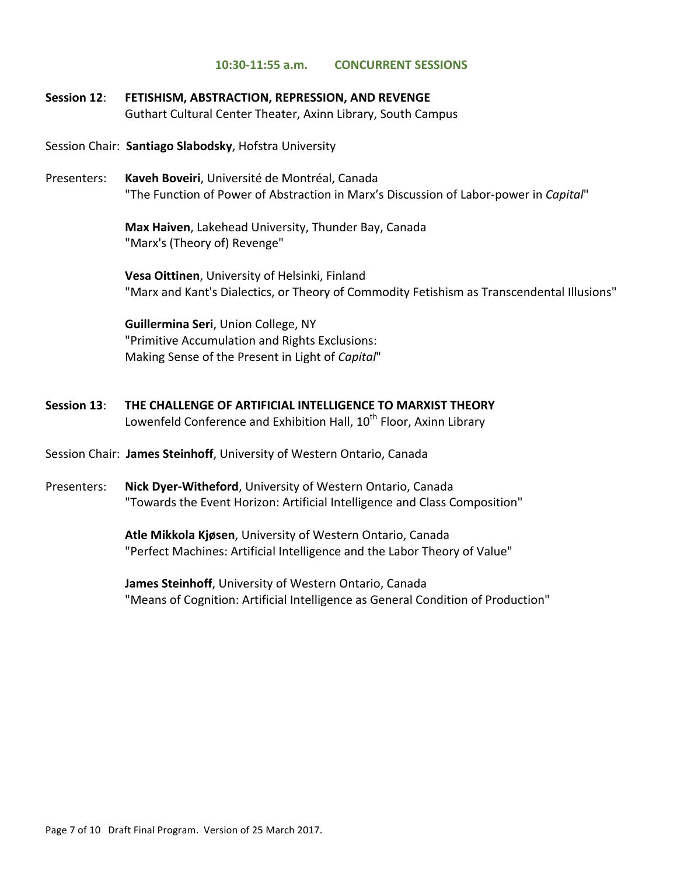#### **10:30-11:55 a.m. CONCURRENT SESSIONS**

### Session 12: FETISHISM, ABSTRACTION, REPRESSION, AND REVENGE Guthart Cultural Center Theater, Axinn Library, South Campus

#### Session Chair: Santiago Slabodsky, Hofstra University

Presenters: **Kaveh Boveiri**, Université de Montréal, Canada "The Function of Power of Abstraction in Marx's Discussion of Labor-power in *Capital*"

> **Max Haiven, Lakehead University, Thunder Bay, Canada** "Marx's (Theory of) Revenge"

**Vesa Oittinen**, University of Helsinki, Finland "Marx and Kant's Dialectics, or Theory of Commodity Fetishism as Transcendental Illusions"

**Guillermina Seri**, Union College, NY "Primitive Accumulation and Rights Exclusions: Making Sense of the Present in Light of *Capital*"

- **Session'13**:!! **THE'CHALLENGE'OF'ARTIFICIAL'INTELLIGENCE'TO'MARXIST'THEORY** Lowenfeld Conference and Exhibition Hall, 10<sup>th</sup> Floor, Axinn Library
- Session Chair: James Steinhoff, University of Western Ontario, Canada
- Presenters: **Nick Dyer-Witheford**, University of Western Ontario, Canada "Towards the Event Horizon: Artificial Intelligence and Class Composition"

Atle Mikkola Kjøsen, University of Western Ontario, Canada "Perfect Machines: Artificial Intelligence and the Labor Theory of Value"

James Steinhoff, University of Western Ontario, Canada "Means of Cognition: Artificial Intelligence as General Condition of Production"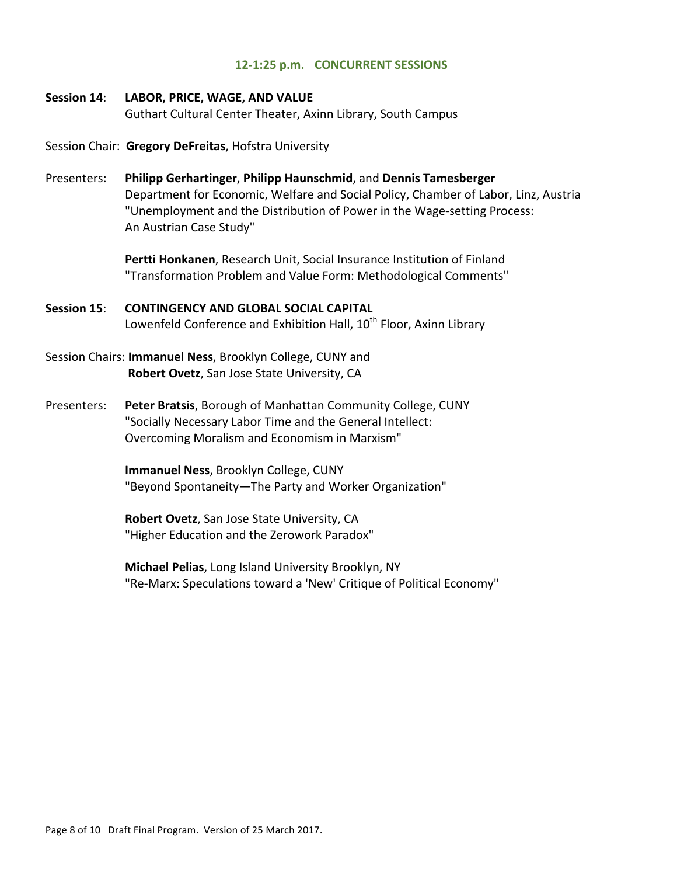#### 12-1:25 p.m. **CONCURRENT SESSIONS**

#### Session 14: LABOR, PRICE, WAGE, AND VALUE

Guthart Cultural Center Theater, Axinn Library, South Campus

Session Chair: Gregory DeFreitas, Hofstra University

Presenters: **Philipp'Gerhartinger**, **Philipp'Haunschmid**, and!**Dennis'Tamesberger** Department for Economic, Welfare and Social Policy, Chamber of Labor, Linz, Austria "Unemployment and the Distribution of Power in the Wage-setting Process: An Austrian Case Study"

> **Pertti Honkanen**, Research Unit, Social Insurance Institution of Finland "Transformation Problem and Value Form: Methodological Comments"

- Session 15: CONTINGENCY AND GLOBAL SOCIAL CAPITAL Lowenfeld Conference and Exhibition Hall,  $10^{th}$  Floor, Axinn Library
- Session Chairs: **Immanuel Ness**, Brooklyn College, CUNY and **Robert Ovetz**, San Jose State University, CA
- Presenters: **Peter Bratsis**, Borough of Manhattan Community College, CUNY "Socially Necessary Labor Time and the General Intellect: Overcoming Moralism and Economism in Marxism"

**Immanuel Ness, Brooklyn College, CUNY** "Beyond Spontaneity—The Party and Worker Organization"

**Robert Ovetz**, San Jose State University, CA "Higher Education and the Zerowork Paradox"

**Michael Pelias**, Long Island University Brooklyn, NY "Re-Marx: Speculations toward a 'New' Critique of Political Economy"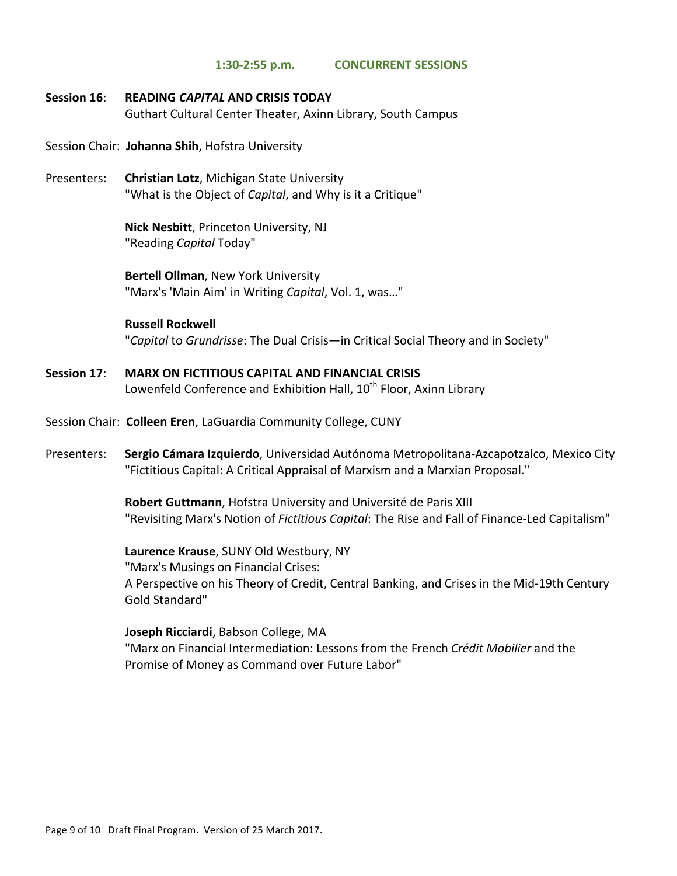#### $1:30-2:55$  p.m. **CONCURRENT SESSIONS**

Session 16: **READING CAPITAL AND CRISIS TODAY** Guthart Cultural Center Theater, Axinn Library, South Campus

Session Chair: Johanna Shih, Hofstra University

Presenters: **Christian Lotz**, Michigan State University "What is the Object of Capital, and Why is it a Critique"

> Nick Nesbitt, Princeton University, NJ "Reading Capital Today"

Bertell Ollman, New York University "Marx's 'Main Aim' in Writing Capital, Vol. 1, was..."

#### **Russell Rockwell**

"Capital to Grundrisse: The Dual Crisis-in Critical Social Theory and in Society"

- **MARX ON FICTITIOUS CAPITAL AND FINANCIAL CRISIS** Session 17: Lowenfeld Conference and Exhibition Hall, 10<sup>th</sup> Floor, Axinn Library
- Session Chair: Colleen Eren, LaGuardia Community College, CUNY
- Presenters: Sergio Cámara Izquierdo, Universidad Autónoma Metropolitana-Azcapotzalco, Mexico City "Fictitious Capital: A Critical Appraisal of Marxism and a Marxian Proposal."

Robert Guttmann, Hofstra University and Université de Paris XIII "Revisiting Marx's Notion of *Fictitious Capital*: The Rise and Fall of Finance-Led Capitalism"

Laurence Krause, SUNY Old Westbury, NY "Marx's Musings on Financial Crises: A Perspective on his Theory of Credit, Central Banking, and Crises in the Mid-19th Century Gold Standard"

## Joseph Ricciardi, Babson College, MA

"Marx on Financial Intermediation: Lessons from the French Crédit Mobilier and the Promise of Money as Command over Future Labor"